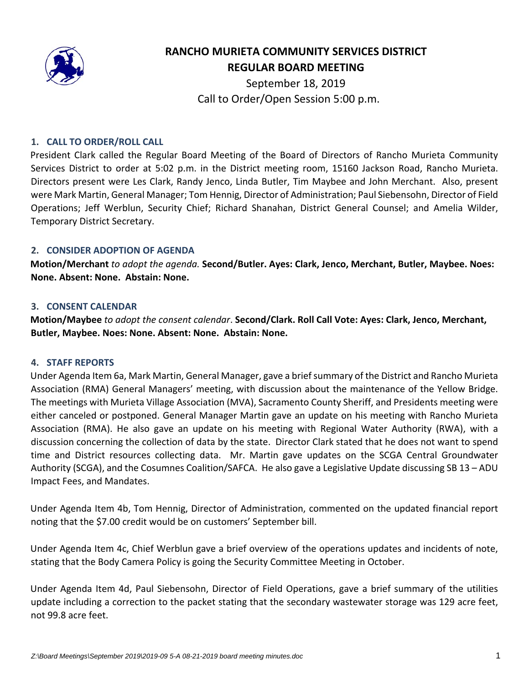

# **RANCHO MURIETA COMMUNITY SERVICES DISTRICT REGULAR BOARD MEETING**

September 18, 2019 Call to Order/Open Session 5:00 p.m.

## **1. CALL TO ORDER/ROLL CALL**

President Clark called the Regular Board Meeting of the Board of Directors of Rancho Murieta Community Services District to order at 5:02 p.m. in the District meeting room, 15160 Jackson Road, Rancho Murieta. Directors present were Les Clark, Randy Jenco, Linda Butler, Tim Maybee and John Merchant. Also, present were Mark Martin, General Manager; Tom Hennig, Director of Administration; Paul Siebensohn, Director of Field Operations; Jeff Werblun, Security Chief; Richard Shanahan, District General Counsel; and Amelia Wilder, Temporary District Secretary.

## **2. CONSIDER ADOPTION OF AGENDA**

**Motion/Merchant** *to adopt the agenda.* **Second/Butler. Ayes: Clark, Jenco, Merchant, Butler, Maybee. Noes: None. Absent: None. Abstain: None.** 

## **3. CONSENT CALENDAR**

**Motion/Maybee** *to adopt the consent calendar*. **Second/Clark. Roll Call Vote: Ayes: Clark, Jenco, Merchant, Butler, Maybee. Noes: None. Absent: None. Abstain: None.** 

## **4. STAFF REPORTS**

Under Agenda Item 6a, Mark Martin, General Manager, gave a briefsummary of the District and Rancho Murieta Association (RMA) General Managers' meeting, with discussion about the maintenance of the Yellow Bridge. The meetings with Murieta Village Association (MVA), Sacramento County Sheriff, and Presidents meeting were either canceled or postponed. General Manager Martin gave an update on his meeting with Rancho Murieta Association (RMA). He also gave an update on his meeting with Regional Water Authority (RWA), with a discussion concerning the collection of data by the state. Director Clark stated that he does not want to spend time and District resources collecting data. Mr. Martin gave updates on the SCGA Central Groundwater Authority (SCGA), and the Cosumnes Coalition/SAFCA. He also gave a Legislative Update discussing SB 13 – ADU Impact Fees, and Mandates.

Under Agenda Item 4b, Tom Hennig, Director of Administration, commented on the updated financial report noting that the \$7.00 credit would be on customers' September bill.

Under Agenda Item 4c, Chief Werblun gave a brief overview of the operations updates and incidents of note, stating that the Body Camera Policy is going the Security Committee Meeting in October.

Under Agenda Item 4d, Paul Siebensohn, Director of Field Operations, gave a brief summary of the utilities update including a correction to the packet stating that the secondary wastewater storage was 129 acre feet, not 99.8 acre feet.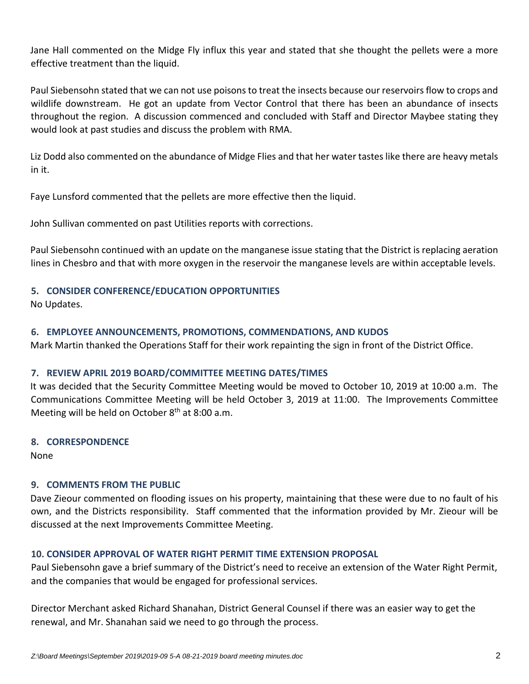Jane Hall commented on the Midge Fly influx this year and stated that she thought the pellets were a more effective treatment than the liquid.

Paul Siebensohn stated that we can not use poisons to treat the insects because our reservoirsflow to crops and wildlife downstream. He got an update from Vector Control that there has been an abundance of insects throughout the region. A discussion commenced and concluded with Staff and Director Maybee stating they would look at past studies and discuss the problem with RMA.

Liz Dodd also commented on the abundance of Midge Flies and that her water tastes like there are heavy metals in it.

Faye Lunsford commented that the pellets are more effective then the liquid.

John Sullivan commented on past Utilities reports with corrections.

Paul Siebensohn continued with an update on the manganese issue stating that the District is replacing aeration lines in Chesbro and that with more oxygen in the reservoir the manganese levels are within acceptable levels.

# **5. CONSIDER CONFERENCE/EDUCATION OPPORTUNITIES**

No Updates.

# **6. EMPLOYEE ANNOUNCEMENTS, PROMOTIONS, COMMENDATIONS, AND KUDOS**

Mark Martin thanked the Operations Staff for their work repainting the sign in front of the District Office.

# **7. REVIEW APRIL 2019 BOARD/COMMITTEE MEETING DATES/TIMES**

It was decided that the Security Committee Meeting would be moved to October 10, 2019 at 10:00 a.m. The Communications Committee Meeting will be held October 3, 2019 at 11:00. The Improvements Committee Meeting will be held on October  $8<sup>th</sup>$  at 8:00 a.m.

# **8. CORRESPONDENCE**

None

# **9. COMMENTS FROM THE PUBLIC**

Dave Zieour commented on flooding issues on his property, maintaining that these were due to no fault of his own, and the Districts responsibility. Staff commented that the information provided by Mr. Zieour will be discussed at the next Improvements Committee Meeting.

# **10. CONSIDER APPROVAL OF WATER RIGHT PERMIT TIME EXTENSION PROPOSAL**

Paul Siebensohn gave a brief summary of the District's need to receive an extension of the Water Right Permit, and the companies that would be engaged for professional services.

Director Merchant asked Richard Shanahan, District General Counsel if there was an easier way to get the renewal, and Mr. Shanahan said we need to go through the process.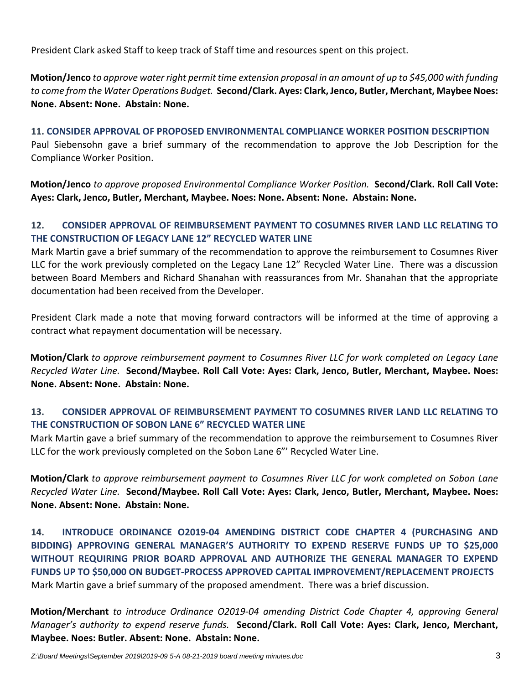President Clark asked Staff to keep track of Staff time and resources spent on this project.

**Motion/Jenco** to approve water right permit time extension proposal in an amount of up to \$45,000 with funding *to come from the Water Operations Budget.* **Second/Clark. Ayes: Clark, Jenco, Butler, Merchant, Maybee Noes: None. Absent: None. Abstain: None.** 

**11. CONSIDER APPROVAL OF PROPOSED ENVIRONMENTAL COMPLIANCE WORKER POSITION DESCRIPTION** Paul Siebensohn gave a brief summary of the recommendation to approve the Job Description for the Compliance Worker Position.

**Motion/Jenco** *to approve proposed Environmental Compliance Worker Position.* **Second/Clark. Roll Call Vote: Ayes: Clark, Jenco, Butler, Merchant, Maybee. Noes: None. Absent: None. Abstain: None.** 

# **12. CONSIDER APPROVAL OF REIMBURSEMENT PAYMENT TO COSUMNES RIVER LAND LLC RELATING TO THE CONSTRUCTION OF LEGACY LANE 12" RECYCLED WATER LINE**

Mark Martin gave a brief summary of the recommendation to approve the reimbursement to Cosumnes River LLC for the work previously completed on the Legacy Lane 12" Recycled Water Line. There was a discussion between Board Members and Richard Shanahan with reassurances from Mr. Shanahan that the appropriate documentation had been received from the Developer.

President Clark made a note that moving forward contractors will be informed at the time of approving a contract what repayment documentation will be necessary.

**Motion/Clark** *to approve reimbursement payment to Cosumnes River LLC for work completed on Legacy Lane Recycled Water Line.* **Second/Maybee. Roll Call Vote: Ayes: Clark, Jenco, Butler, Merchant, Maybee. Noes: None. Absent: None. Abstain: None.** 

# **13. CONSIDER APPROVAL OF REIMBURSEMENT PAYMENT TO COSUMNES RIVER LAND LLC RELATING TO THE CONSTRUCTION OF SOBON LANE 6" RECYCLED WATER LINE**

Mark Martin gave a brief summary of the recommendation to approve the reimbursement to Cosumnes River LLC for the work previously completed on the Sobon Lane 6"' Recycled Water Line.

**Motion/Clark** *to approve reimbursement payment to Cosumnes River LLC for work completed on Sobon Lane Recycled Water Line.* **Second/Maybee. Roll Call Vote: Ayes: Clark, Jenco, Butler, Merchant, Maybee. Noes: None. Absent: None. Abstain: None.** 

**14. INTRODUCE ORDINANCE O2019‐04 AMENDING DISTRICT CODE CHAPTER 4 (PURCHASING AND BIDDING) APPROVING GENERAL MANAGER'S AUTHORITY TO EXPEND RESERVE FUNDS UP TO \$25,000 WITHOUT REQUIRING PRIOR BOARD APPROVAL AND AUTHORIZE THE GENERAL MANAGER TO EXPEND FUNDS UP TO \$50,000 ON BUDGET‐PROCESS APPROVED CAPITAL IMPROVEMENT/REPLACEMENT PROJECTS** Mark Martin gave a brief summary of the proposed amendment. There was a brief discussion.

**Motion/Merchant** *to introduce Ordinance O2019‐04 amending District Code Chapter 4, approving General Manager's authority to expend reserve funds.* **Second/Clark. Roll Call Vote: Ayes: Clark, Jenco, Merchant, Maybee. Noes: Butler. Absent: None. Abstain: None.**